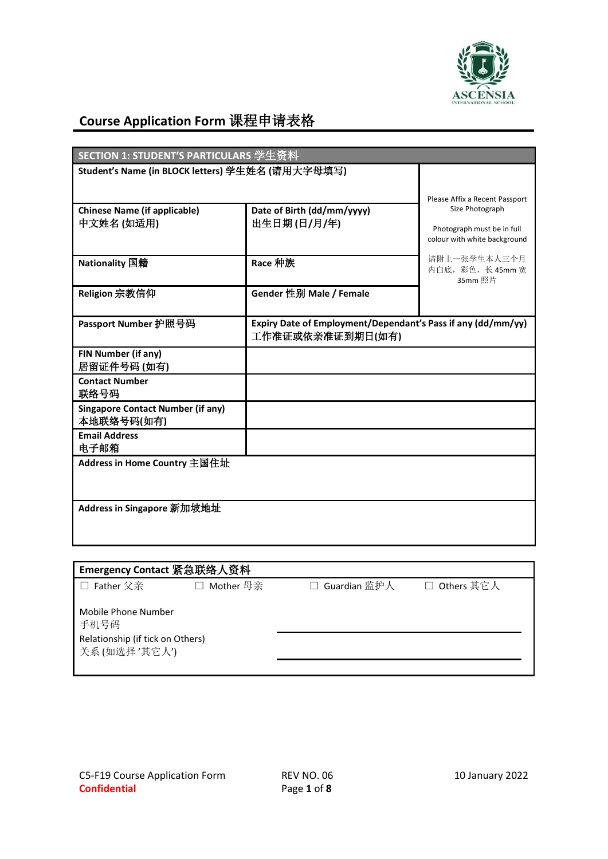

## **Course Application Form** 课程申请表格

| Student's Name (in BLOCK letters) 学生姓名 (请用大字母填写)<br>Please Affix a Recent Passport<br>Size Photograph<br>Date of Birth (dd/mm/yyyy)<br><b>Chinese Name (if applicable)</b><br>中文姓名 (如适用)<br>出生日期(日/月/年)<br>Photograph must be in full<br>colour with white background<br>请附上一张学生本人三个月<br>Race 种族<br>Nationality 国籍<br>内白底, 彩色, 长 45mm 宽<br>35mm 照片<br>Gender 性别 Male / Female<br>Religion 宗教信仰<br>Passport Number 护照号码<br>Expiry Date of Employment/Dependant's Pass if any (dd/mm/yy)<br>工作准证或依亲准证到期日(如有)<br><b>FIN Number (if any)</b><br>居留证件号码(如有)<br><b>Contact Number</b><br>联络号码<br><b>Singapore Contact Number (if any)</b><br>本地联络号码(如有)<br><b>Email Address</b><br>电子邮箱<br>Address in Home Country 主国住址 | SECTION 1: STUDENT'S PARTICULARS 学生资料 |  |  |
|-------------------------------------------------------------------------------------------------------------------------------------------------------------------------------------------------------------------------------------------------------------------------------------------------------------------------------------------------------------------------------------------------------------------------------------------------------------------------------------------------------------------------------------------------------------------------------------------------------------------------------------------------------------------------------------------------------------------|---------------------------------------|--|--|
|                                                                                                                                                                                                                                                                                                                                                                                                                                                                                                                                                                                                                                                                                                                   |                                       |  |  |
|                                                                                                                                                                                                                                                                                                                                                                                                                                                                                                                                                                                                                                                                                                                   |                                       |  |  |
|                                                                                                                                                                                                                                                                                                                                                                                                                                                                                                                                                                                                                                                                                                                   |                                       |  |  |
|                                                                                                                                                                                                                                                                                                                                                                                                                                                                                                                                                                                                                                                                                                                   |                                       |  |  |
|                                                                                                                                                                                                                                                                                                                                                                                                                                                                                                                                                                                                                                                                                                                   |                                       |  |  |
|                                                                                                                                                                                                                                                                                                                                                                                                                                                                                                                                                                                                                                                                                                                   |                                       |  |  |
|                                                                                                                                                                                                                                                                                                                                                                                                                                                                                                                                                                                                                                                                                                                   |                                       |  |  |
|                                                                                                                                                                                                                                                                                                                                                                                                                                                                                                                                                                                                                                                                                                                   |                                       |  |  |
|                                                                                                                                                                                                                                                                                                                                                                                                                                                                                                                                                                                                                                                                                                                   |                                       |  |  |
|                                                                                                                                                                                                                                                                                                                                                                                                                                                                                                                                                                                                                                                                                                                   |                                       |  |  |
| Address in Singapore 新加坡地址                                                                                                                                                                                                                                                                                                                                                                                                                                                                                                                                                                                                                                                                                        |                                       |  |  |

| Emergency Contact 紧急联络人资料                                                       |             |              |              |
|---------------------------------------------------------------------------------|-------------|--------------|--------------|
| □ Father 父亲                                                                     | □ Mother 母亲 | Guardian 监护人 | □ Others 其它人 |
| Mobile Phone Number<br>手机号码<br>Relationship (if tick on Others)<br>关系(如选择'其它人') |             |              |              |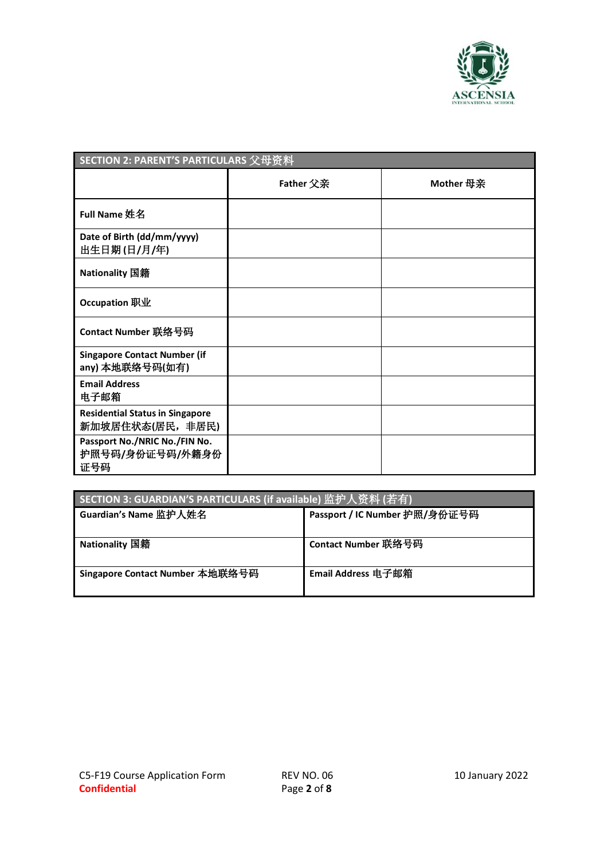

| SECTION 2: PARENT'S PARTICULARS 父母资料                      |                  |           |
|-----------------------------------------------------------|------------------|-----------|
|                                                           | <b>Father</b> 父亲 | Mother 母亲 |
| <b>Full Name 姓名</b>                                       |                  |           |
| Date of Birth (dd/mm/yyyy)<br>出生日期(日/月/年)                 |                  |           |
| Nationality 国籍                                            |                  |           |
| Occupation 职业                                             |                  |           |
| Contact Number 联络号码                                       |                  |           |
| <b>Singapore Contact Number (if</b><br>any) 本地联络号码(如有)    |                  |           |
| <b>Email Address</b><br>电子邮箱                              |                  |           |
| <b>Residential Status in Singapore</b><br>新加坡居住状态(居民,非居民) |                  |           |
| Passport No./NRIC No./FIN No.<br>护照号码/身份证号码/外籍身份<br>证号码   |                  |           |

| SECTION 3: GUARDIAN'S PARTICULARS (if available) 监护人资料 (若有) |                               |
|-------------------------------------------------------------|-------------------------------|
| ' Guardian's Name 监护人姓名                                     | Passport / IC Number 护照/身份证号码 |
|                                                             |                               |
| Nationality 国籍                                              | Contact Number 联络号码           |
| Singapore Contact Number 本地联络号码                             | Email Address 电子邮箱            |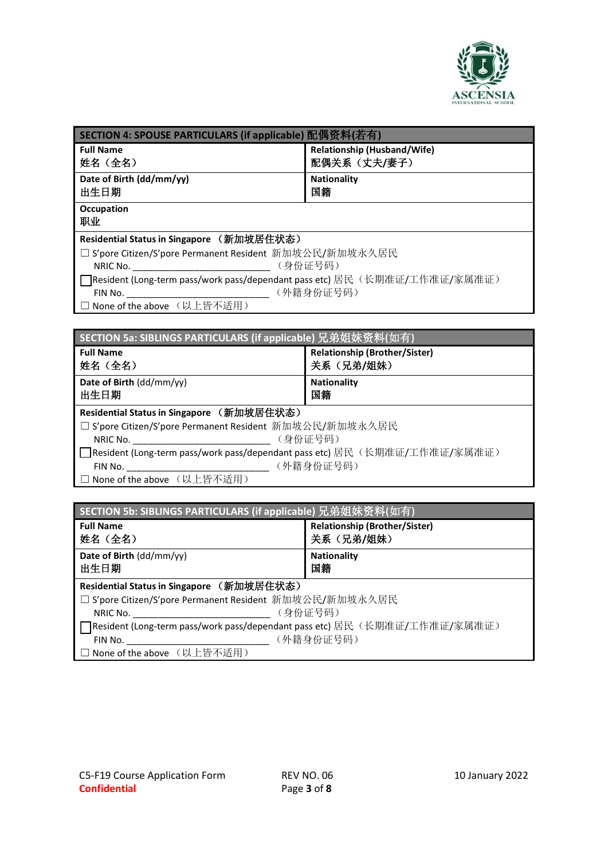

| SECTION 4: SPOUSE PARTICULARS (if applicable) 配偶资料(若有)                             |                                             |  |
|------------------------------------------------------------------------------------|---------------------------------------------|--|
| <b>Full Name</b><br>姓名(全名)                                                         | Relationship (Husband/Wife)<br>配偶关系 (丈夫/妻子) |  |
|                                                                                    |                                             |  |
| Date of Birth (dd/mm/yy)<br>出生日期                                                   | <b>Nationality</b><br>国籍                    |  |
| Occupation<br>职业                                                                   |                                             |  |
| Residential Status in Singapore (新加坡居住状态)                                          |                                             |  |
| □ S'pore Citizen/S'pore Permanent Resident 新加坡公民/新加坡永久居民                           |                                             |  |
| (身份证号码)<br>NRIC No.                                                                |                                             |  |
| <b>]</b> Resident (Long-term pass/work pass/dependant pass etc) 居民(长期准证/工作准证/家属准证) |                                             |  |
| (外籍身份证号码)<br>FIN No.                                                               |                                             |  |
| □ None of the above (以上皆不适用)                                                       |                                             |  |
|                                                                                    |                                             |  |

| SECTION 5a: SIBLINGS PARTICULARS (if applicable) 兄弟姐妹资料(如有)                 |                                      |
|-----------------------------------------------------------------------------|--------------------------------------|
| <b>Full Name</b>                                                            | <b>Relationship (Brother/Sister)</b> |
| 姓名 (全名)                                                                     | 关系(兄弟/姐妹)                            |
| Date of Birth (dd/mm/yy)<br>出生日期                                            | <b>Nationality</b><br>国籍             |
| Residential Status in Singapore (新加坡居住状态)                                   |                                      |
| □ S'pore Citizen/S'pore Permanent Resident 新加坡公民/新加坡永久居民                    |                                      |
| NRIC No.                                                                    | (身份证号码)                              |
| □ Resident (Long-term pass/work pass/dependant pass etc) 居民(长期准证/工作准证/家属准证) |                                      |
| FIN No.                                                                     | (外籍身份证号码)                            |
| □ None of the above (以上皆不适用)                                                |                                      |

| SECTION 5b: SIBLINGS PARTICULARS (if applicable) 兄弟姐妹资料(如有)                      |           |
|----------------------------------------------------------------------------------|-----------|
| <b>Relationship (Brother/Sister)</b><br><b>Full Name</b><br>关系(兄弟/姐妹)<br>姓名 (全名) |           |
| Date of Birth (dd/mm/yy)<br><b>Nationality</b><br>国籍<br>出生日期                     |           |
| Residential Status in Singapore (新加坡居住状态)                                        |           |
| □ S'pore Citizen/S'pore Permanent Resident 新加坡公民/新加坡永久居民                         |           |
| NRIC No.                                                                         | (身份证号码)   |
| ヿResident (Long-term pass/work pass/dependant pass etc) 居民(长期准证/工作准证/家属准证)       |           |
| FIN No.                                                                          | (外籍身份证号码) |
| □ None of the above (以上皆不适用)                                                     |           |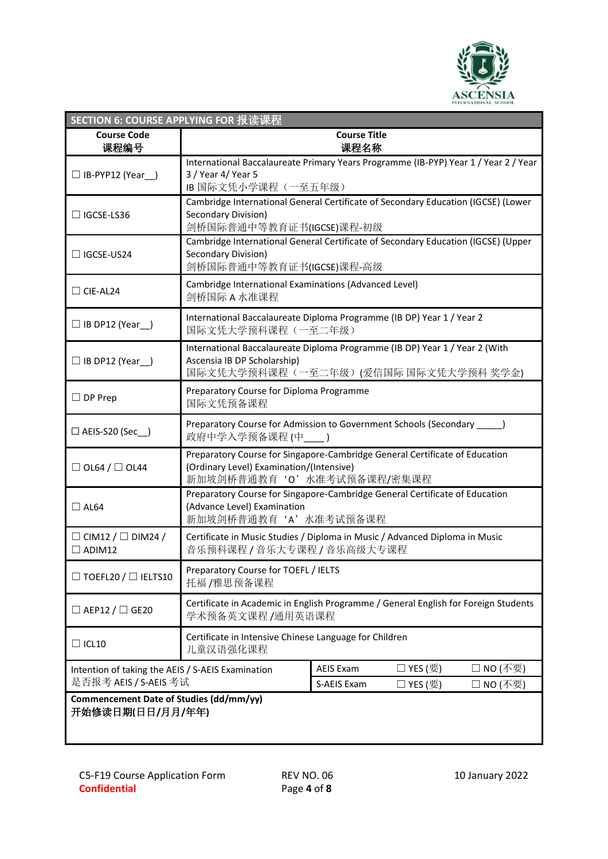

| SECTION 6: COURSE APPLYING FOR 报读课程                                                |                                                                                                                                                      |                             |                |           |
|------------------------------------------------------------------------------------|------------------------------------------------------------------------------------------------------------------------------------------------------|-----------------------------|----------------|-----------|
| <b>Course Code</b><br>课程编号                                                         |                                                                                                                                                      | <b>Course Title</b><br>课程名称 |                |           |
| $\Box$ IB-PYP12 (Year_)                                                            | International Baccalaureate Primary Years Programme (IB-PYP) Year 1 / Year 2 / Year<br>3 / Year 4/ Year 5<br>IB 国际文凭小学课程(一至五年级)                      |                             |                |           |
| $\Box$ IGCSE-LS36                                                                  | Cambridge International General Certificate of Secondary Education (IGCSE) (Lower<br>Secondary Division)<br>剑桥国际普通中等教育证书(IGCSE)课程-初级                 |                             |                |           |
| $\Box$ IGCSE-US24                                                                  | Cambridge International General Certificate of Secondary Education (IGCSE) (Upper<br>Secondary Division)<br>剑桥国际普通中等教育证书(IGCSE)课程-高级                 |                             |                |           |
| $\Box$ CIE-AL24                                                                    | Cambridge International Examinations (Advanced Level)<br>剑桥国际 A 水准课程                                                                                 |                             |                |           |
| $\Box$ IB DP12 (Year_)                                                             | International Baccalaureate Diploma Programme (IB DP) Year 1 / Year 2<br>国际文凭大学预科课程(一至二年级)                                                           |                             |                |           |
| $\Box$ IB DP12 (Year_)                                                             | International Baccalaureate Diploma Programme (IB DP) Year 1 / Year 2 (With<br>Ascensia IB DP Scholarship)<br>国际文凭大学预科课程(一至二年级)(爱信国际 国际文凭大学预科 奖学金)   |                             |                |           |
| $\Box$ DP Prep                                                                     | Preparatory Course for Diploma Programme<br>国际文凭预备课程                                                                                                 |                             |                |           |
| $\Box$ AEIS-S20 (Sec_)                                                             | Preparatory Course for Admission to Government Schools (Secondary _____)<br>政府中学入学预备课程(中                                                             | $\rightarrow$               |                |           |
| $\Box$ OL64 / $\Box$ OL44                                                          | Preparatory Course for Singapore-Cambridge General Certificate of Education<br>(Ordinary Level) Examination/(Intensive)<br>新加坡剑桥普通教育'O'水准考试预备课程/密集课程 |                             |                |           |
| $\Box$ AL64                                                                        | Preparatory Course for Singapore-Cambridge General Certificate of Education<br>(Advance Level) Examination<br>新加坡剑桥普通教育'A'水准考试预备课程                   |                             |                |           |
| $\Box$ CIM12 / $\Box$ DIM24 /<br>$\Box$ ADIM12                                     | Certificate in Music Studies / Diploma in Music / Advanced Diploma in Music<br>音乐预科课程 / 音乐大专课程 / 音乐高级大专课程                                            |                             |                |           |
| $\exists$ TOEFL20 / $\Box$ IELTS10                                                 | Preparatory Course for TOEFL / IELTS<br>托福/雅思预备课程                                                                                                    |                             |                |           |
| $\Box$ AEP12 / $\Box$ GE20                                                         | Certificate in Academic in English Programme / General English for Foreign Students<br>学术预备英文课程 /通用英语课程                                              |                             |                |           |
| Certificate in Intensive Chinese Language for Children<br>$\Box$ ICL10<br>儿童汉语强化课程 |                                                                                                                                                      |                             |                |           |
| Intention of taking the AEIS / S-AEIS Examination                                  |                                                                                                                                                      | <b>AEIS Exam</b>            | $\Box$ YES (要) | □ NO (不要) |
| 是否报考 AEIS / S-AEIS 考试                                                              |                                                                                                                                                      | S-AEIS Exam                 | □ YES (要)      | □ NO (不要) |
| Commencement Date of Studies (dd/mm/yy)<br>开始修读日期(日日/月月/年年)                        |                                                                                                                                                      |                             |                |           |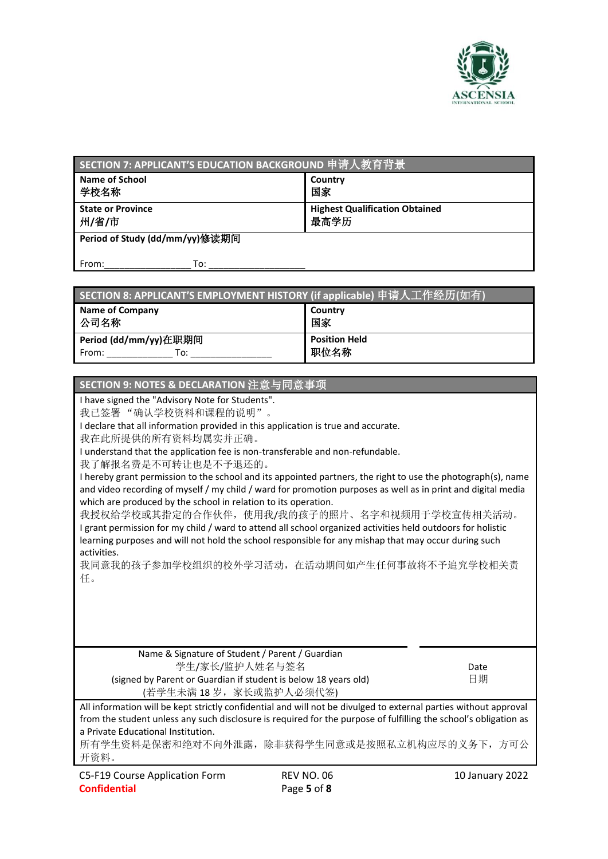

| SECTION 7: APPLICANT'S EDUCATION BACKGROUND 申请人教育背景 |                                               |  |
|-----------------------------------------------------|-----------------------------------------------|--|
| <b>Name of School</b><br>学校名称                       | Country<br>国家                                 |  |
| <b>State or Province</b><br>州/省/市                   | <b>Highest Qualification Obtained</b><br>最高学历 |  |
| Period of Study (dd/mm/yy)修读期间                      |                                               |  |
| To:<br>From:                                        |                                               |  |

| SECTION 8: APPLICANT'S EMPLOYMENT HISTORY (if applicable) 申请人工作经历(如有) |                              |
|-----------------------------------------------------------------------|------------------------------|
| <b>Name of Company</b><br>公司名称                                        | Country<br>国家                |
| Period (dd/mm/yy)在职期间<br>From:<br>To:                                 | <b>Position Held</b><br>职位名称 |

## **SECTION 9: NOTES & DECLARATION** 注意与同意事项

I have signed the "Advisory Note for Students".

我已签署 "确认学校资料和课程的说明"。

I declare that all information provided in this application is true and accurate.

我在此所提供的所有资料均属实并正确。

I understand that the application fee is non-transferable and non-refundable.

我了解报名费是不可转让也是不予退还的。

I hereby grant permission to the school and its appointed partners, the right to use the photograph(s), name and video recording of myself / my child / ward for promotion purposes as well as in print and digital media which are produced by the school in relation to its operation.

我授权给学校或其指定的合作伙伴,使用我/我的孩子的照片、名字和视频用于学校宣传相关活动。 I grant permission for my child / ward to attend all school organized activities held outdoors for holistic learning purposes and will not hold the school responsible for any mishap that may occur during such activities.

我同意我的孩子参加学校组织的校外学习活动,在活动期间如产生任何事故将不予追究学校相关责 任。

Name & Signature of Student / Parent / Guardian 学生/家长/监护人姓名与签名 (signed by Parent or Guardian if student is below 18 years old) (若学生未满 18岁,家长或监护人必须代签)

Date 日期

All information will be kept strictly confidential and will not be divulged to external parties without approval from the student unless any such disclosure is required for the purpose of fulfilling the school's obligation as a Private Educational Institution.

所有学生资料是保密和绝对不向外泄露,除非获得学生同意或是按照私立机构应尽的义务下,方可公 开资料。

C5-F19 Course Application Form **Confidential**

10 January 2022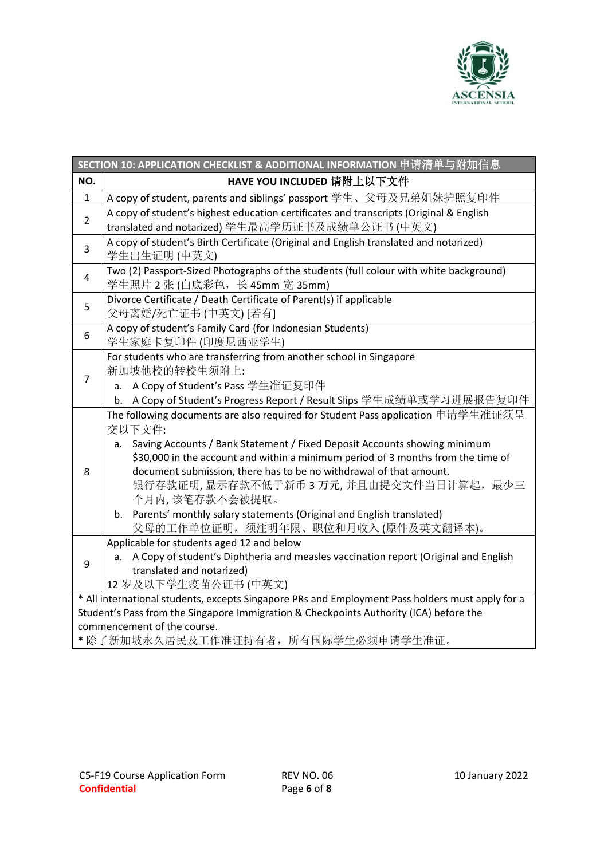

|                | SECTION 10: APPLICATION CHECKLIST & ADDITIONAL INFORMATION 申请清单与附加信息                                                                                                                                                                                                                                                                                                                                                                                                                                                   |
|----------------|------------------------------------------------------------------------------------------------------------------------------------------------------------------------------------------------------------------------------------------------------------------------------------------------------------------------------------------------------------------------------------------------------------------------------------------------------------------------------------------------------------------------|
| NO.            | HAVE YOU INCLUDED 请附上以下文件                                                                                                                                                                                                                                                                                                                                                                                                                                                                                              |
| $\mathbf{1}$   | A copy of student, parents and siblings' passport 学生、父母及兄弟姐妹护照复印件                                                                                                                                                                                                                                                                                                                                                                                                                                                      |
| $\overline{2}$ | A copy of student's highest education certificates and transcripts (Original & English<br>translated and notarized) 学生最高学历证书及成绩单公证书 (中英文)                                                                                                                                                                                                                                                                                                                                                                              |
| 3              | A copy of student's Birth Certificate (Original and English translated and notarized)<br>学生出生证明 (中英文)                                                                                                                                                                                                                                                                                                                                                                                                                  |
| $\overline{4}$ | Two (2) Passport-Sized Photographs of the students (full colour with white background)<br>学生照片 2 张 (白底彩色, 长 45mm 宽 35mm)                                                                                                                                                                                                                                                                                                                                                                                               |
| 5              | Divorce Certificate / Death Certificate of Parent(s) if applicable<br>父母离婚/死亡证书(中英文)[若有]                                                                                                                                                                                                                                                                                                                                                                                                                               |
| 6              | A copy of student's Family Card (for Indonesian Students)<br>学生家庭卡复印件 (印度尼西亚学生)                                                                                                                                                                                                                                                                                                                                                                                                                                        |
| $\overline{7}$ | For students who are transferring from another school in Singapore<br>新加坡他校的转校生须附上:<br>a. A Copy of Student's Pass 学生准证复印件<br>b. A Copy of Student's Progress Report / Result Slips 学生成绩单或学习进展报告复印件                                                                                                                                                                                                                                                                                                                    |
| 8              | The following documents are also required for Student Pass application 申请学生准证须呈<br>交以下文件:<br>Saving Accounts / Bank Statement / Fixed Deposit Accounts showing minimum<br>a.<br>\$30,000 in the account and within a minimum period of 3 months from the time of<br>document submission, there has to be no withdrawal of that amount.<br>银行存款证明, 显示存款不低于新币 3 万元, 并且由提交文件当日计算起, 最少三<br>个月内,该笔存款不会被提取。<br>b. Parents' monthly salary statements (Original and English translated)<br>父母的工作单位证明, 须注明年限、职位和月收入(原件及英文翻译本)。 |
| 9              | Applicable for students aged 12 and below<br>a. A Copy of student's Diphtheria and measles vaccination report (Original and English<br>translated and notarized)<br>12 岁及以下学生疫苗公证书(中英文)                                                                                                                                                                                                                                                                                                                                |
|                | * All international students, excepts Singapore PRs and Employment Pass holders must apply for a<br>Student's Pass from the Singapore Immigration & Checkpoints Authority (ICA) before the<br>commencement of the course.<br>* 除了新加坡永久居民及工作准证持有者,所有国际学生必须申请学生准证。                                                                                                                                                                                                                                                       |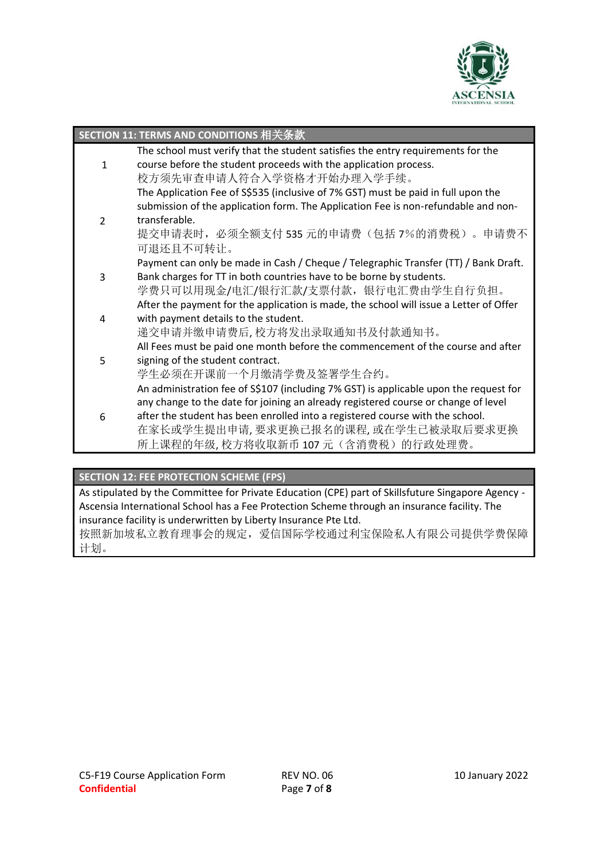

|               | SECTION 11: TERMS AND CONDITIONS 相关条款                                                  |
|---------------|----------------------------------------------------------------------------------------|
|               | The school must verify that the student satisfies the entry requirements for the       |
| $\mathbf{1}$  | course before the student proceeds with the application process.                       |
|               | 校方须先审查申请人符合入学资格才开始办理入学手续。                                                              |
|               | The Application Fee of S\$535 (inclusive of 7% GST) must be paid in full upon the      |
|               | submission of the application form. The Application Fee is non-refundable and non-     |
| $\mathcal{P}$ | transferable.                                                                          |
|               | 提交申请表时, 必须全额支付 535 元的申请费(包括 7%的消费税)。申请费不                                               |
|               | 可退还且不可转让。                                                                              |
|               | Payment can only be made in Cash / Cheque / Telegraphic Transfer (TT) / Bank Draft.    |
| 3             | Bank charges for TT in both countries have to be borne by students.                    |
|               | 学费只可以用现金/电汇/银行汇款/支票付款,银行电汇费由学生自行负担。                                                    |
|               | After the payment for the application is made, the school will issue a Letter of Offer |
| 4             | with payment details to the student.                                                   |
|               | 递交申请并缴申请费后,校方将发出录取通知书及付款通知书。                                                           |
|               | All Fees must be paid one month before the commencement of the course and after        |
| 5             | signing of the student contract.                                                       |
|               | 学生必须在开课前一个月缴清学费及签署学生合约。                                                                |
|               | An administration fee of S\$107 (including 7% GST) is applicable upon the request for  |
|               | any change to the date for joining an already registered course or change of level     |
| 6             | after the student has been enrolled into a registered course with the school.          |
|               | 在家长或学生提出申请, 要求更换已报名的课程, 或在学生已被录取后要求更换                                                  |
|               | 所上课程的年级,校方将收取新币107元(含消费税)的行政处理费。                                                       |

## **SECTION 12: FEE PROTECTION SCHEME (FPS)**

As stipulated by the Committee for Private Education (CPE) part of Skillsfuture Singapore Agency - Ascensia International School has a Fee Protection Scheme through an insurance facility. The insurance facility is underwritten by Liberty Insurance Pte Ltd.

按照新加坡私立教育理事会的规定,爱信国际学校通过利宝保险私人有限公司提供学费保障 计划。